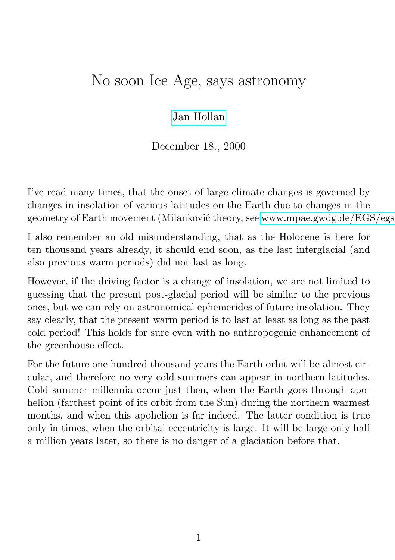## No soon Ice Age, says astronomy

[Jan Hollan](http://astro.sci.muni.cz/pub/hollan)

December 18., 2000

I've read many times, that the onset of large climate changes is governed by changes in insolation of various latitudes on the Earth due to changes in the geometry of Earth movement (Milanković theory, see [www.mpae.gwdg.de/EGS/egs](http://www.mpae.gwdg.de/EGS/egs_info/milankovic.htm)

I also remember an old misunderstanding, that as the Holocene is here for ten thousand years already, it should end soon, as the last interglacial (and also previous warm periods) did not last as long.

However, if the driving factor is a change of insolation, we are not limited to guessing that the present post-glacial period will be similar to the previous ones, but we can rely on astronomical ephemerides of future insolation. They say clearly, that the present warm period is to last at least as long as the past cold period! This holds for sure even with no anthropogenic enhancement of the greenhouse effect.

For the future one hundred thousand years the Earth orbit will be almost circular, and therefore no very cold summers can appear in northern latitudes. Cold summer millennia occur just then, when the Earth goes through apohelion (farthest point of its orbit from the Sun) during the northern warmest months, and when this apohelion is far indeed. The latter condition is true only in times, when the orbital eccentricity is large. It will be large only half a million years later, so there is no danger of a glaciation before that.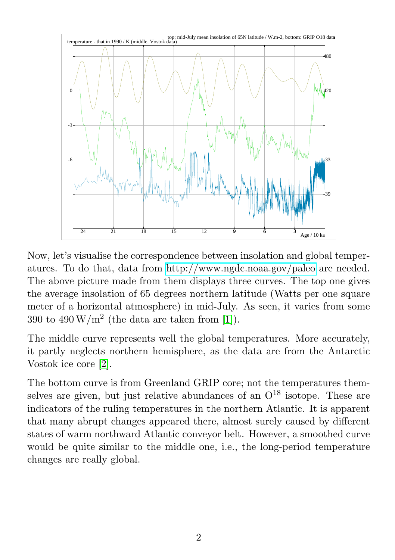

Now, let's visualise the correspondence between insolation and global temperatures. To do that, data from<http://www.ngdc.noaa.gov/paleo> are needed. The above picture made from them displays three curves. The top one gives the average insolation of 65 degrees northern latitude (Watts per one square meter of a horizontal atmosphere) in mid-July. As seen, it varies from some 390 to 490  $\text{W/m}^2$  (the data are taken from [\[1\]](#page-3-0)).

The middle curve represents well the global temperatures. More accurately, it partly neglects northern hemisphere, as the data are from the Antarctic Vostok ice core [\[2\]](#page-3-1).

The bottom curve is from Greenland GRIP core; not the temperatures themselves are given, but just relative abundances of an  $O^{18}$  isotope. These are indicators of the ruling temperatures in the northern Atlantic. It is apparent that many abrupt changes appeared there, almost surely caused by different states of warm northward Atlantic conveyor belt. However, a smoothed curve would be quite similar to the middle one, i.e., the long-period temperature changes are really global.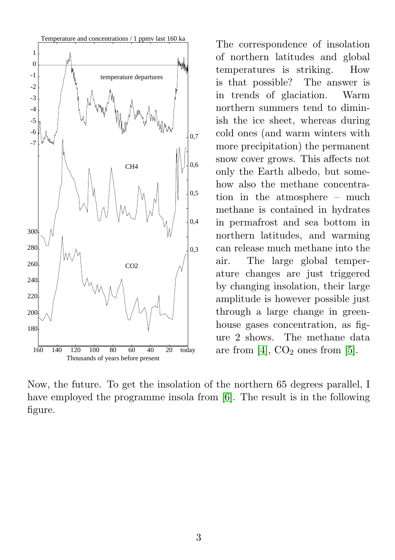

The correspondence of insolation of northern latitudes and global temperatures is striking. How is that possible? The answer is in trends of glaciation. Warm northern summers tend to diminish the ice sheet, whereas during cold ones (and warm winters with more precipitation) the permanent snow cover grows. This affects not only the Earth albedo, but somehow also the methane concentration in the atmosphere – much methane is contained in hydrates in permafrost and sea bottom in northern latitudes, and warming can release much methane into the air. The large global temperature changes are just triggered by changing insolation, their large amplitude is however possible just through a large change in greenhouse gases concentration, as figure 2 shows. The methane data are from [\[4\]](#page-4-0),  $CO<sub>2</sub>$  ones from [\[5\]](#page-4-1).

Now, the future. To get the insolation of the northern 65 degrees parallel, I have employed the programme insola from [\[6\]](#page-4-2). The result is in the following figure.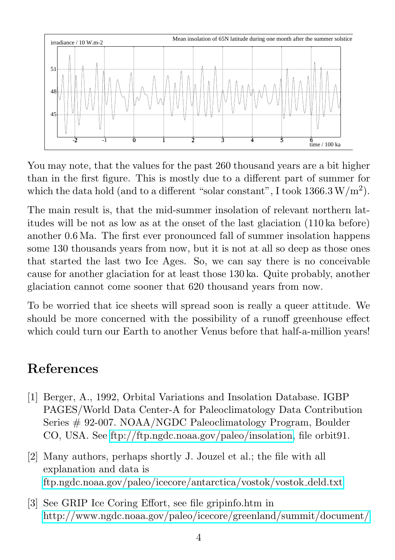

You may note, that the values for the past 260 thousand years are a bit higher than in the first figure. This is mostly due to a different part of summer for which the data hold (and to a different "solar constant", I took  $1366.3 \,\mathrm{W/m^2}$ ).

The main result is, that the mid-summer insolation of relevant northern latitudes will be not as low as at the onset of the last glaciation (110 ka before) another 0.6 Ma. The first ever pronounced fall of summer insolation happens some 130 thousands years from now, but it is not at all so deep as those ones that started the last two Ice Ages. So, we can say there is no conceivable cause for another glaciation for at least those 130 ka. Quite probably, another glaciation cannot come sooner that 620 thousand years from now.

To be worried that ice sheets will spread soon is really a queer attitude. We should be more concerned with the possibility of a runoff greenhouse effect which could turn our Earth to another Venus before that half-a-million years!

## References

- <span id="page-3-0"></span>[1] Berger, A., 1992, Orbital Variations and Insolation Database. IGBP PAGES/World Data Center-A for Paleoclimatology Data Contribution Series # 92-007. NOAA/NGDC Paleoclimatology Program, Boulder CO, USA. See [ftp://ftp.ngdc.noaa.gov/paleo/insolation,](ftp://ftp.ngdc.noaa.gov/paleo/insolation) file orbit91.
- <span id="page-3-1"></span>[2] Many authors, perhaps shortly J. Jouzel et al.; the file with all explanation and data is [ftp.ngdc.noaa.gov/paleo/icecore/antarctica/vostok/vostok](ftp://ftp.ngdc.noaa.gov/paleo/icecore/antarctica/vostok/vostok_deld.txt) deld.txt
- [3] See GRIP Ice Coring Effort, see file gripinfo.htm in <http://www.ngdc.noaa.gov/paleo/icecore/greenland/summit/document/>